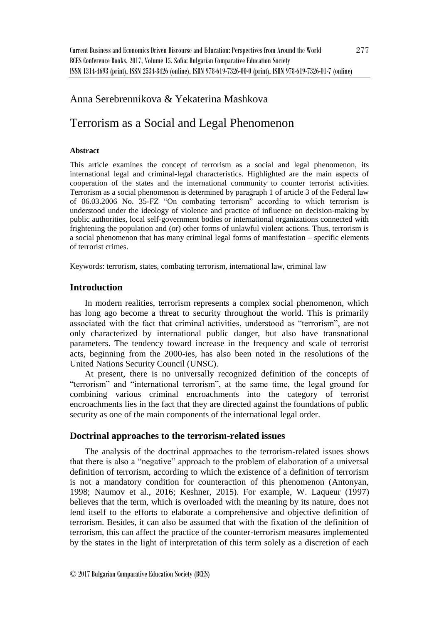# Anna Serebrennikova & Yekaterina Mashkova

# Terrorism as a Social and Legal Phenomenon

#### **Abstract**

This article examines the concept of terrorism as a social and legal phenomenon, its international legal and criminal-legal characteristics. Highlighted are the main aspects of cooperation of the states and the international community to counter terrorist activities. Terrorism as a social phenomenon is determined by paragraph 1 of article 3 of the Federal law of 06.03.2006 No. 35-FZ "On combating terrorism" according to which terrorism is understood under the ideology of violence and practice of influence on decision-making by public authorities, local self-government bodies or international organizations connected with frightening the population and (or) other forms of unlawful violent actions. Thus, terrorism is a social phenomenon that has many criminal legal forms of manifestation – specific elements of terrorist crimes.

Keywords: terrorism, states, combating terrorism, international law, criminal law

# **Introduction**

In modern realities, terrorism represents a complex social phenomenon, which has long ago become a threat to security throughout the world. This is primarily associated with the fact that criminal activities, understood as "terrorism", are not only characterized by international public danger, but also have transnational parameters. The tendency toward increase in the frequency and scale of terrorist acts, beginning from the 2000-ies, has also been noted in the resolutions of the United Nations Security Council (UNSC).

At present, there is no universally recognized definition of the concepts of "terrorism" and "international terrorism", at the same time, the legal ground for combining various criminal encroachments into the category of terrorist encroachments lies in the fact that they are directed against the foundations of public security as one of the main components of the international legal order.

#### **Doctrinal approaches to the terrorism-related issues**

The analysis of the doctrinal approaches to the terrorism-related issues shows that there is also a "negative" approach to the problem of elaboration of a universal definition of terrorism, according to which the existence of a definition of terrorism is not a mandatory condition for counteraction of this phenomenon (Antonyan, 1998; Naumov et al., 2016; Keshner, 2015). For example, W. Laqueur (1997) believes that the term, which is overloaded with the meaning by its nature, does not lend itself to the efforts to elaborate a comprehensive and objective definition of terrorism. Besides, it can also be assumed that with the fixation of the definition of terrorism, this can affect the practice of the counter-terrorism measures implemented by the states in the light of interpretation of this term solely as a discretion of each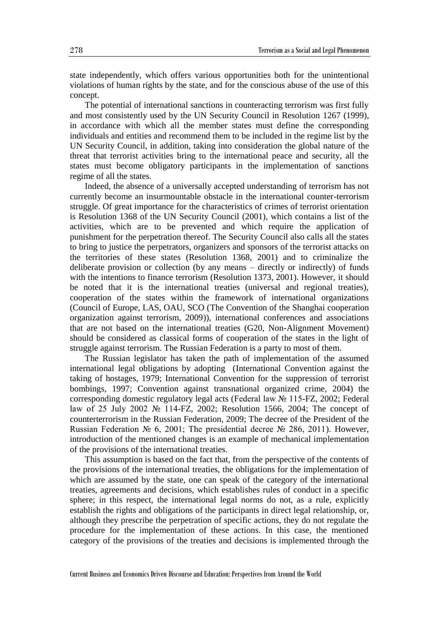state independently, which offers various opportunities both for the unintentional violations of human rights by the state, and for the conscious abuse of the use of this concept.

The potential of international sanctions in counteracting terrorism was first fully and most consistently used by the UN Security Council in Resolution 1267 (1999), in accordance with which all the member states must define the corresponding individuals and entities and recommend them to be included in the regime list by the UN Security Council, in addition, taking into consideration the global nature of the threat that terrorist activities bring to the international peace and security, all the states must become obligatory participants in the implementation of sanctions regime of all the states.

Indeed, the absence of a universally accepted understanding of terrorism has not currently become an insurmountable obstacle in the international counter-terrorism struggle. Of great importance for the characteristics of crimes of terrorist orientation is Resolution 1368 of the UN Security Council (2001), which contains a list of the activities, which are to be prevented and which require the application of punishment for the perpetration thereof. The Security Council also calls all the states to bring to justice the perpetrators, organizers and sponsors of the terrorist attacks on the territories of these states (Resolution 1368, 2001) and to criminalize the deliberate provision or collection (by any means – directly or indirectly) of funds with the intentions to finance terrorism (Resolution 1373, 2001). However, it should be noted that it is the international treaties (universal and regional treaties), cooperation of the states within the framework of international organizations (Council of Europe, LAS, OAU, SCO (The Convention of the Shanghai cooperation organization against terrorism, 2009)), international conferences and associations that are not based on the international treaties (G20, Non-Alignment Movement) should be considered as classical forms of cooperation of the states in the light of struggle against terrorism. The Russian Federation is a party to most of them.

The Russian legislator has taken the path of implementation of the assumed international legal obligations by adopting (International Convention against the taking of hostages, 1979; International Convention for the suppression of terrorist bombings, 1997; Convention against transnational organized crime, 2004) the corresponding domestic regulatory legal acts (Federal law № 115-FZ, 2002; Federal law of 25 July 2002 № 114-FZ, 2002; Resolution 1566, 2004; The concept of counterterrorism in the Russian Federation, 2009; The decree of the President of the Russian Federation № 6, 2001; The presidential decree № 286, 2011). However, introduction of the mentioned changes is an example of mechanical implementation of the provisions of the international treaties.

This assumption is based on the fact that, from the perspective of the contents of the provisions of the international treaties, the obligations for the implementation of which are assumed by the state, one can speak of the category of the international treaties, agreements and decisions, which establishes rules of conduct in a specific sphere; in this respect, the international legal norms do not, as a rule, explicitly establish the rights and obligations of the participants in direct legal relationship, or, although they prescribe the perpetration of specific actions, they do not regulate the procedure for the implementation of these actions. In this case, the mentioned category of the provisions of the treaties and decisions is implemented through the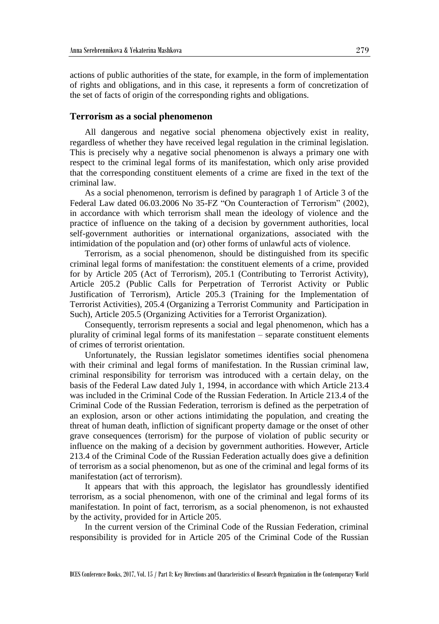actions of public authorities of the state, for example, in the form of implementation of rights and obligations, and in this case, it represents a form of concretization of the set of facts of origin of the corresponding rights and obligations.

#### **Terrorism as a social phenomenon**

All dangerous and negative social phenomena objectively exist in reality, regardless of whether they have received legal regulation in the criminal legislation. This is precisely why a negative social phenomenon is always a primary one with respect to the criminal legal forms of its manifestation, which only arise provided that the corresponding constituent elements of a crime are fixed in the text of the criminal law.

As a social phenomenon, terrorism is defined by paragraph 1 of Article 3 of the Federal Law dated 06.03.2006 No 35-FZ "On Counteraction of Terrorism" (2002), in accordance with which terrorism shall mean the ideology of violence and the practice of influence on the taking of a decision by government authorities, local self-government authorities or international organizations, associated with the intimidation of the population and (or) other forms of unlawful acts of violence.

Terrorism, as a social phenomenon, should be distinguished from its specific criminal legal forms of manifestation: the constituent elements of a crime, provided for by Article 205 (Act of Terrorism), 205.1 (Contributing to Terrorist Activity), Article 205.2 (Public Calls for Perpetration of Terrorist Activity or Public Justification of Terrorism), Article 205.3 (Training for the Implementation of Terrorist Activities), 205.4 (Organizing a Terrorist Community and Participation in Such), Article 205.5 (Organizing Activities for a Terrorist Organization).

Consequently, terrorism represents a social and legal phenomenon, which has a plurality of criminal legal forms of its manifestation – separate constituent elements of crimes of terrorist orientation.

Unfortunately, the Russian legislator sometimes identifies social phenomena with their criminal and legal forms of manifestation. In the Russian criminal law, criminal responsibility for terrorism was introduced with a certain delay, on the basis of the Federal Law dated July 1, 1994, in accordance with which Article 213.4 was included in the Criminal Code of the Russian Federation. In Article 213.4 of the Criminal Code of the Russian Federation, terrorism is defined as the perpetration of an explosion, arson or other actions intimidating the population, and creating the threat of human death, infliction of significant property damage or the onset of other grave consequences (terrorism) for the purpose of violation of public security or influence on the making of a decision by government authorities. However, Article 213.4 of the Criminal Code of the Russian Federation actually does give a definition of terrorism as a social phenomenon, but as one of the criminal and legal forms of its manifestation (act of terrorism).

It appears that with this approach, the legislator has groundlessly identified terrorism, as a social phenomenon, with one of the criminal and legal forms of its manifestation. In point of fact, terrorism, as a social phenomenon, is not exhausted by the activity, provided for in Article 205.

In the current version of the Criminal Code of the Russian Federation, criminal responsibility is provided for in Article 205 of the Criminal Code of the Russian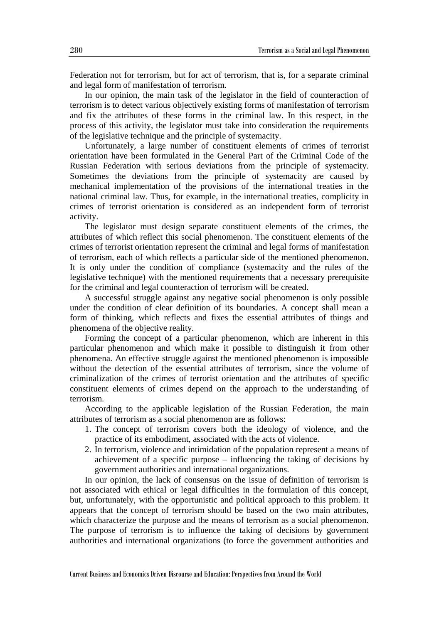Federation not for terrorism, but for act of terrorism, that is, for a separate criminal and legal form of manifestation of terrorism.

In our opinion, the main task of the legislator in the field of counteraction of terrorism is to detect various objectively existing forms of manifestation of terrorism and fix the attributes of these forms in the criminal law. In this respect, in the process of this activity, the legislator must take into consideration the requirements of the legislative technique and the principle of systemacity.

Unfortunately, a large number of constituent elements of crimes of terrorist orientation have been formulated in the General Part of the Criminal Code of the Russian Federation with serious deviations from the principle of systemacity. Sometimes the deviations from the principle of systemacity are caused by mechanical implementation of the provisions of the international treaties in the national criminal law. Thus, for example, in the international treaties, complicity in crimes of terrorist orientation is considered as an independent form of terrorist activity.

The legislator must design separate constituent elements of the crimes, the attributes of which reflect this social phenomenon. The constituent elements of the crimes of terrorist orientation represent the criminal and legal forms of manifestation of terrorism, each of which reflects a particular side of the mentioned phenomenon. It is only under the condition of compliance (systemacity and the rules of the legislative technique) with the mentioned requirements that a necessary prerequisite for the criminal and legal counteraction of terrorism will be created.

A successful struggle against any negative social phenomenon is only possible under the condition of clear definition of its boundaries. A concept shall mean a form of thinking, which reflects and fixes the essential attributes of things and phenomena of the objective reality.

Forming the concept of a particular phenomenon, which are inherent in this particular phenomenon and which make it possible to distinguish it from other phenomena. An effective struggle against the mentioned phenomenon is impossible without the detection of the essential attributes of terrorism, since the volume of criminalization of the crimes of terrorist orientation and the attributes of specific constituent elements of crimes depend on the approach to the understanding of terrorism.

According to the applicable legislation of the Russian Federation, the main attributes of terrorism as a social phenomenon are as follows:

- 1. The concept of terrorism covers both the ideology of violence, and the practice of its embodiment, associated with the acts of violence.
- 2. In terrorism, violence and intimidation of the population represent a means of achievement of a specific purpose – influencing the taking of decisions by government authorities and international organizations.

In our opinion, the lack of consensus on the issue of definition of terrorism is not associated with ethical or legal difficulties in the formulation of this concept, but, unfortunately, with the opportunistic and political approach to this problem. It appears that the concept of terrorism should be based on the two main attributes, which characterize the purpose and the means of terrorism as a social phenomenon. The purpose of terrorism is to influence the taking of decisions by government authorities and international organizations (to force the government authorities and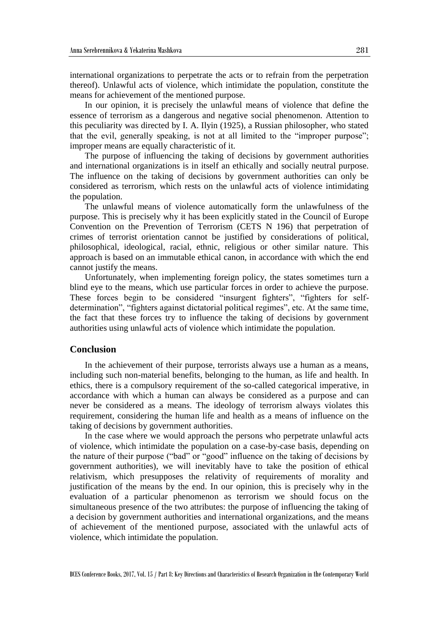international organizations to perpetrate the acts or to refrain from the perpetration thereof). Unlawful acts of violence, which intimidate the population, constitute the means for achievement of the mentioned purpose.

In our opinion, it is precisely the unlawful means of violence that define the essence of terrorism as a dangerous and negative social phenomenon. Attention to this peculiarity was directed by I. A. Ilyin (1925), a Russian philosopher, who stated that the evil, generally speaking, is not at all limited to the "improper purpose"; improper means are equally characteristic of it.

The purpose of influencing the taking of decisions by government authorities and international organizations is in itself an ethically and socially neutral purpose. The influence on the taking of decisions by government authorities can only be considered as terrorism, which rests on the unlawful acts of violence intimidating the population.

The unlawful means of violence automatically form the unlawfulness of the purpose. This is precisely why it has been explicitly stated in the Council of Europe Convention on the Prevention of Terrorism (CETS N 196) that perpetration of crimes of terrorist orientation cannot be justified by considerations of political, philosophical, ideological, racial, ethnic, religious or other similar nature. This approach is based on an immutable ethical canon, in accordance with which the end cannot justify the means.

Unfortunately, when implementing foreign policy, the states sometimes turn a blind eye to the means, which use particular forces in order to achieve the purpose. These forces begin to be considered "insurgent fighters", "fighters for selfdetermination", "fighters against dictatorial political regimes", etc. At the same time, the fact that these forces try to influence the taking of decisions by government authorities using unlawful acts of violence which intimidate the population.

### **Conclusion**

In the achievement of their purpose, terrorists always use a human as a means, including such non-material benefits, belonging to the human, as life and health. In ethics, there is a compulsory requirement of the so-called categorical imperative, in accordance with which a human can always be considered as a purpose and can never be considered as a means. The ideology of terrorism always violates this requirement, considering the human life and health as a means of influence on the taking of decisions by government authorities.

In the case where we would approach the persons who perpetrate unlawful acts of violence, which intimidate the population on a case-by-case basis, depending on the nature of their purpose ("bad" or "good" influence on the taking of decisions by government authorities), we will inevitably have to take the position of ethical relativism, which presupposes the relativity of requirements of morality and justification of the means by the end. In our opinion, this is precisely why in the evaluation of a particular phenomenon as terrorism we should focus on the simultaneous presence of the two attributes: the purpose of influencing the taking of a decision by government authorities and international organizations, and the means of achievement of the mentioned purpose, associated with the unlawful acts of violence, which intimidate the population.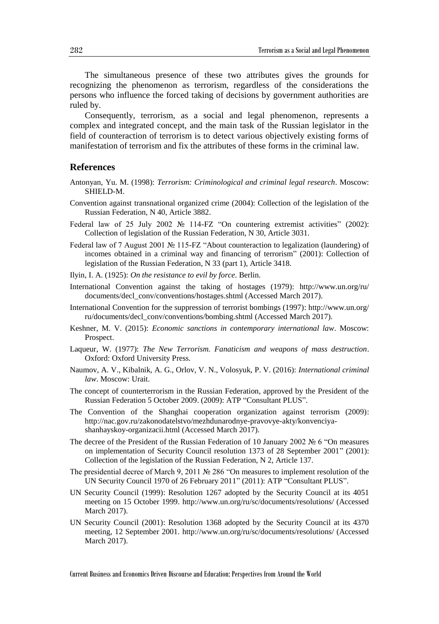The simultaneous presence of these two attributes gives the grounds for recognizing the phenomenon as terrorism, regardless of the considerations the persons who influence the forced taking of decisions by government authorities are ruled by.

Consequently, terrorism, as a social and legal phenomenon, represents a complex and integrated concept, and the main task of the Russian legislator in the field of counteraction of terrorism is to detect various objectively existing forms of manifestation of terrorism and fix the attributes of these forms in the criminal law.

## **References**

- Antonyan, Yu. M. (1998): *Terrorism: Criminological and criminal legal research*. Moscow: SHIELD-M.
- Convention against transnational organized crime (2004): Collection of the legislation of the Russian Federation, N 40, Article 3882.
- Federal law of 25 July 2002 № 114-FZ "On countering extremist activities" (2002): Collection of legislation of the Russian Federation, N 30, Article 3031.
- Federal law of 7 August 2001 № 115-FZ "About counteraction to legalization (laundering) of incomes obtained in a criminal way and financing of terrorism" (2001): Collection of legislation of the Russian Federation, N 33 (part 1), Article 3418.
- Ilyin, I. A. (1925): *On the resistance to evil by force*. Berlin.
- International Convention against the taking of hostages (1979): http://www.un.org/ru/ documents/decl\_conv/conventions/hostages.shtml (Accessed March 2017).
- International Convention for the suppression of terrorist bombings (1997): http://www.un.org/ ru/documents/decl\_conv/conventions/bombing.shtml (Accessed March 2017).
- Keshner, M. V. (2015): *Economic sanctions in contemporary international law*. Moscow: Prospect.
- Laqueur, W. (1977): *The New Terrorism. Fanaticism and weapons of mass destruction*. Oxford: Oxford University Press.
- Naumov, A. V., Kibalnik, A. G., Orlov, V. N., Volosyuk, P. V. (2016): *International criminal law*. Moscow: Urait.
- The concept of counterterrorism in the Russian Federation, approved by the President of the Russian Federation 5 October 2009. (2009): ATP "Consultant PLUS".
- The Convention of the Shanghai cooperation organization against terrorism (2009): http://nac.gov.ru/zakonodatelstvo/mezhdunarodnye-pravovye-akty/konvenciyashanhayskoy-organizacii.html (Accessed March 2017).
- The decree of the President of the Russian Federation of 10 January 2002 № 6 "On measures on implementation of Security Council resolution 1373 of 28 September 2001" (2001): Collection of the legislation of the Russian Federation, N 2, Article 137.
- The presidential decree of March 9, 2011 № 286 "On measures to implement resolution of the UN Security Council 1970 of 26 February 2011" (2011): ATP "Consultant PLUS".
- UN Security Council (1999): Resolution 1267 adopted by the Security Council at its 4051 meeting on 15 October 1999. http://www.un.org/ru/sc/documents/resolutions/ (Accessed March 2017).
- UN Security Council (2001): Resolution 1368 adopted by the Security Council at its 4370 meeting, 12 September 2001. http://www.un.org/ru/sc/documents/resolutions/ (Accessed March 2017).